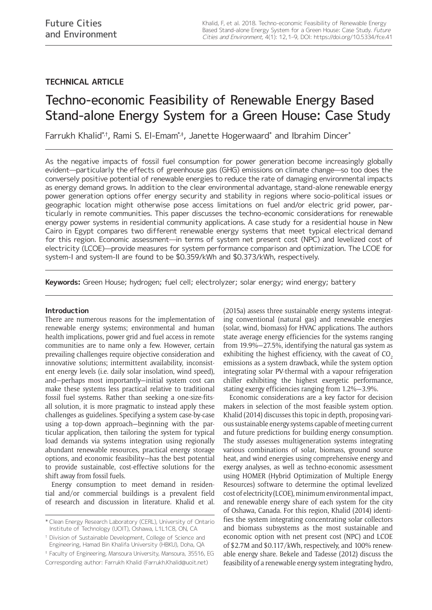# **TECHNICAL ARTICLE**

# Techno-economic Feasibility of Renewable Energy Based Stand-alone Energy System for a Green House: Case Study

Farrukh Khalid\*<sup>,†</sup>, Rami S. El-Emam\*.‡, Janette Hogerwaard\* and Ibrahim Dincer\*

As the negative impacts of fossil fuel consumption for power generation become increasingly globally evident—particularly the effects of greenhouse gas (GHG) emissions on climate change—so too does the conversely positive potential of renewable energies to reduce the rate of damaging environmental impacts as energy demand grows. In addition to the clear environmental advantage, stand-alone renewable energy power generation options offer energy security and stability in regions where socio-political issues or geographic location might otherwise pose access limitations on fuel and/or electric grid power, particularly in remote communities. This paper discusses the techno-economic considerations for renewable energy power systems in residential community applications. A case study for a residential house in New Cairo in Egypt compares two different renewable energy systems that meet typical electrical demand for this region. Economic assessment—in terms of system net present cost (NPC) and levelized cost of electricity (LCOE)—provide measures for system performance comparison and optimization. The LCOE for system-I and system-II are found to be \$0.359/kWh and \$0.373/kWh, respectively.

**Keywords:** Green House; hydrogen; fuel cell; electrolyzer; solar energy; wind energy; battery

### **Introduction**

There are numerous reasons for the implementation of renewable energy systems; environmental and human health implications, power grid and fuel access in remote communities are to name only a few. However, certain prevailing challenges require objective consideration and innovative solutions; intermittent availability, inconsistent energy levels (i.e. daily solar insolation, wind speed), and—perhaps most importantly—initial system cost can make these systems less practical relative to traditional fossil fuel systems. Rather than seeking a one-size-fitsall solution, it is more pragmatic to instead apply these challenges as guidelines. Specifying a system case-by-case using a top-down approach—beginning with the particular application, then tailoring the system for typical load demands via systems integration using regionally abundant renewable resources, practical energy storage options, and economic feasibility—has the best potential to provide sustainable, cost-effective solutions for the shift away from fossil fuels.

Energy consumption to meet demand in residential and/or commercial buildings is a prevalent field of research and discussion in literature. Khalid et al.

‡ Faculty of Engineering, Mansoura University, Mansoura, 35516, EG Corresponding author: Farrukh Khalid [\(Farrukh.Khalid@uoit.net\)](mailto:Farrukh.Khalid@uoit.net)

(2015a) assess three sustainable energy systems integrating conventional (natural gas) and renewable energies (solar, wind, biomass) for HVAC applications. The authors state average energy efficiencies for the systems ranging from 19.9%—27.5%, identifying the natural gas system as exhibiting the highest efficiency, with the caveat of CO<sub>2</sub> emissions as a system drawback, while the system option integrating solar PV-thermal with a vapour refrigeration chiller exhibiting the highest exergetic performance, stating exergy efficiencies ranging from 1.2%—3.9%.

Economic considerations are a key factor for decision makers in selection of the most feasible system option. Khalid (2014) discusses this topic in depth, proposing various sustainable energy systems capable of meeting current and future predictions for building energy consumption. The study assesses multigeneration systems integrating various combinations of solar, biomass, ground source heat, and wind energies using comprehensive energy and exergy analyses, as well as techno-economic assessment using HOMER (Hybrid Optimization of Multiple Energy Resources) software to determine the optimal levelized cost of electricity (LCOE), minimum environmental impact, and renewable energy share of each system for the city of Oshawa, Canada. For this region, Khalid (2014) identifies the system integrating concentrating solar collectors and biomass subsystems as the most sustainable and economic option with net present cost (NPC) and LCOE of \$2.7M and \$0.117/kWh, respectively, and 100% renewable energy share. Bekele and Tadesse (2012) discuss the feasibility of a renewable energy system integrating hydro,

<sup>\*</sup> Clean Energy Research Laboratory (CERL), University of Ontario Institute of Technology (UOIT), Oshawa, L1L1C8, ON, CA

<sup>†</sup> Division of Sustainable Development, College of Science and Engineering, Hamad Bin Khalifa University (HBKU), Doha, QA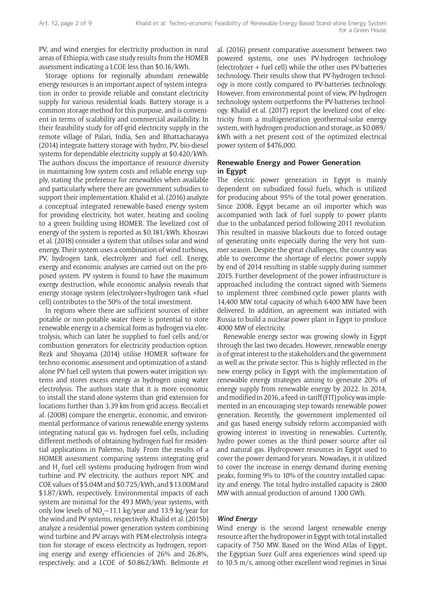PV, and wind energies for electricity production in rural areas of Ethiopia, with case study results from the HOMER assessment indicating a LCOE less than \$0.16/kWh.

Storage options for regionally abundant renewable energy resources is an important aspect of system integration in order to provide reliable and constant electricity supply for various residential loads. Battery storage is a common storage method for this purpose, and is convenient in terms of scalability and commercial availability. In their feasibility study for off-grid electricity supply in the remote village of Palari, India, Sen and Bhattacharayya (2014) integrate battery storage with hydro, PV, bio-diesel systems for dependable electricity supply at \$0.420/kWh. The authors discuss the importance of resource diversity in maintaining low system costs and reliable energy supply, stating the preference for renewables when available and particularly where there are government subsidies to support their implementation. Khalid et al. (2016) analyze a conceptual integrated renewable-based energy system for providing electricity, hot water, heating and cooling to a green building using HOMER. The levelized cost of energy of the system is reported as \$0.181/kWh. Khosravi et al. (2018) consider a system that utilises solar and wind energy. Their system uses a combination of wind turbines, PV, hydrogen tank, electrolyzer and fuel cell. Energy, exergy and economic analyses are carried out on the proposed system. PV system is found to have the maximum exergy destruction, while economic analysis reveals that energy storage system (electrolyzer+hydrogen tank +fuel cell) contributes to the 50% of the total investment.

In regions where there are sufficient sources of either potable or non-potable water there is potential to store renewable energy in a chemical form as hydrogen via electrolysis, which can later be supplied to fuel cells and/or combustion generators for electricity production option. Rezk and Shoyama (2014) utilise HOMER software for techno-economic assessment and optimization of a standalone PV-fuel cell system that powers water irrigation systems and stores excess energy as hydrogen using water electrolysis. The authors state that it is more economic to install the stand-alone systems than grid extension for locations further than 3.39 km from grid access. Beccali et al. (2008) compare the energetic, economic, and environmental performance of various renewable energy systems integrating natural gas vs. hydrogen fuel cells, including different methods of obtaining hydrogen fuel for residential applications in Palermo, Italy. From the results of a HOMER assessment comparing systems integrating grid and  $\rm H_{2}$ -fuel cell systems producing hydrogen from wind turbine and PV electricity, the authors report NPC and COE values of \$5.04M and \$0.725/kWh, and \$13.00M and \$1.87/kWh, respectively. Environmental impacts of each system are minimal for the 493 MWh/year systems, with only low levels of  $NO_x$ –11.1 kg/year and 13.9 kg/year for the wind and PV systems, respectively. Khalid et al. (2015b) analyze a residential power generation system combining wind turbine and PV arrays with PEM-electrolysis integration for storage of excess electricity as hydrogen, reporting energy and exergy efficiencies of 26% and 26.8%, respectively, and a LCOE of \$0.862/kWh. Belmonte et

al. (2016) present comparative assessment between two powered systems, one uses PV-hydrogen technology (electrolyzer + fuel cell) while the other uses PV-batteries technology. Their results show that PV-hydrogen technology is more costly compared to PV-batteries technology. However, from environmental point of view, PV-hydrogen technology system outperforms the PV-batteries technology. Khalid et al. (2017) report the levelized cost of electricity from a multigeneration geothermal-solar energy system, with hydrogen production and storage, as \$0.089/ kWh with a net present cost of the optimized electrical power system of \$476,000.

## **Renewable Energy and Power Generation in Egypt**

The electric power generation in Egypt is mainly dependent on subsidized fossil fuels, which is utilized for producing about 95% of the total power generation. Since 2008, Egypt became an oil importer which was accompanied with lack of fuel supply to power plants due to the unbalanced period following 2011 revolution. This resulted in massive blackouts due to forced outage of generating units especially during the very hot summer season. Despite the great challenges, the country was able to overcome the shortage of electric power supply by end of 2014 resulting in stable supply during summer 2015. Further development of the power infrastructure is approached including the contract signed with Siemens to implement three combined-cycle power plants with 14,400 MW total capacity of which 6400 MW have been delivered. In addition, an agreement was initiated with Russia to build a nuclear power plant in Egypt to produce 4000 MW of electricity.

Renewable energy sector was growing slowly in Egypt through the last two decades. However, renewable energy is of great interest to the stakeholders and the government as well as the private sector. This is highly reflected in the new energy policy in Egypt with the implementation of renewable energy strategies aiming to generate 20% of energy supply from renewable energy by 2022. In 2014, and modified in 2016, a feed-in-tariff (FIT) policy was implemented in an encouraging step towards renewable power generation. Recently, the government implemented oil and gas based energy subsidy reform accompanied with growing interest in investing in renewables. Currently, hydro power comes as the third power source after oil and natural gas. Hydropower resources in Egypt used to cover the power demand for years. Nowadays, it is utilized to cover the increase in energy demand during evening peaks, forming 9% to 10% of the country installed capacity and energy. The total hydro installed capacity is 2800 MW with annual production of around 1300 GWh.

### **Wind Energy**

Wind energy is the second largest renewable energy resource after the hydropower in Egypt with total installed capacity of 750 MW. Based on the Wind Atlas of Egypt, the Egyptian Suez Gulf area experiences wind speed up to 10.5 m/s, among other excellent wind regimes in Sinai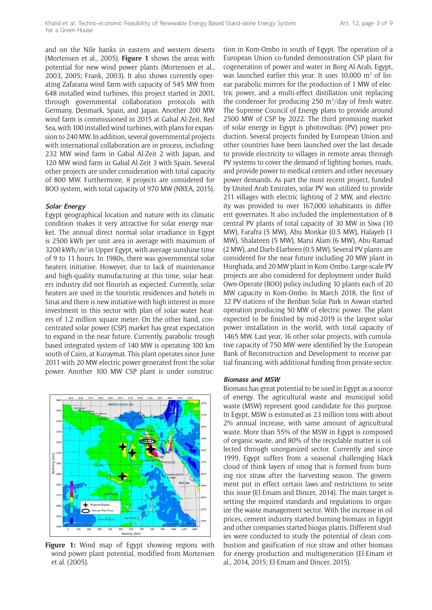and on the Nile banks in eastern and western deserts (Mortensen et al., 2005). **Figure 1** shows the areas with potential for new wind power plants (Mortensen et al., 2003, 2005; Frank, 2003). It also shows currently operating Zafarana wind farm with capacity of 545 MW from 648 installed wind turbines, this project started in 2001, through governmental collaboration protocols with Germany, Denmark, Spain, and Japan. Another 200 MW wind farm is commissioned in 2015 at Gabal Al-Zeit, Red Sea, with 100 installed wind turbines, with plans for expansion to 240 MW. In addition, several governmental projects with international collaboration are in process, including: 232 MW wind farm in Gabal Al-Zeit 2 with Japan, and 120 MW wind farm in Gabal Al-Zeit 3 with Spain. Several other projects are under consideration with total capacity of 800 MW. Furthermore, 8 projects are considered for BOO system, with total capacity of 970 MW (NREA, 2015).

#### **Solar Energy**

Egypt geographical location and nature with its climatic condition makes it very attractive for solar energy market. The annual direct normal solar irradiance in Egypt is 2500 kWh per unit area in average with maximum of 3200 kWh/m2 in Upper Egypt, with average sunshine time of 9 to 11 hours. In 1980s, there was governmental solar heaters initiative. However, due to lack of maintenance and high-quality manufacturing at this time, solar heaters industry did not flourish as expected. Currently, solar heaters are used in the touristic residences and hotels in Sinai and there is new initiative with high interest in more investment in this sector with plan of solar water heaters of 1.2 million square meter. On the other hand, concentrated solar power (CSP) market has great expectation to expand in the near future. Currently, parabolic trough based integrated system of 140 MW is operating 100 km south of Cairo, at Kuraymat. This plant operates since June 2011 with 20 MW electric power generated from the solar power. Another 100 MW CSP plant is under construc-



**Figure 1:** Wind map of Egypt showing regions with wind power plant potential, modified from Mortensen et al. (2005).

tion in Kom-Ombo in south of Egypt. The operation of a European Union co-funded demonstration CSP plant for cogeneration of power and water in Borg Al-Arab, Egypt, was launched earlier this year. It uses  $10,000$  m<sup>2</sup> of linear parabolic mirrors for the production of 1 MW of electric power, and a multi-effect distillation unit replacing the condenser for producing  $250 \text{ m}^3/\text{day}$  of fresh water. The Supreme Council of Energy plans to provide around 2500 MW of CSP by 2022. The third promising market of solar energy in Egypt is photovoltaic (PV) power production. Several projects funded by European Union and other countries have been launched over the last decade to provide electricity to villages in remote areas through PV systems to cover the demand of lighting homes, roads, and provide power to medical centers and other necessary power demands. As part the most recent project, funded by United Arab Emirates, solar PV was utilized to provide 211 villages with electric lighting of 2 MW, and electricity was provided to over 167,000 inhabitants in different governates. It also included the implementation of 8 central PV plants of total capacity of 30 MW in Siwa (10 MW), Farafra (5 MW), Abu Monkar (0.5 MW), Halayeb (1 MW), Shalateen (5 MW), Marsi Alam (6 MW), Abu-Ramad (2 MW), and Darb-Elarbeen (0.5 MW). Several PV plants are considered for the near future including 20 MW plant in Hurghada, and 20 MW plant in Kom-Ombo. Large-scale PV projects are also considered for deployment under Build-Own-Operate (BOO) policy including 10 plants each of 20 MW capacity in Kom-Ombo. In March 2018, the first of 32 PV-stations of the Benban Solar Park in Aswan started operation producing 50 MW of electric power. The plant expected to be finished by mid-2019 is the largest solar power installation in the world, with total capacity of 1465 MW. Last year, 16 other solar projects, with cumulative capacity of 750 MW were identified by the European Bank of Reconstruction and Development to receive partial financing, with additional funding from private sector.

#### **Biomass and MSW**

Biomass has great potential to be used in Egypt as a source of energy. The agricultural waste and municipal solid waste (MSW) represent good candidate for this purpose. In Egypt, MSW is estimated as 23 million tons with about 2% annual increase, with same amount of agricultural waste. More than 55% of the MSW in Egypt is composed of organic waste, and 80% of the recyclable matter is collected through unorganized sector. Currently and since 1999, Egypt suffers from a seasonal challenging black cloud of think layers of smog that is formed from burning rice straw after the harvesting season. The government put in effect certain laws and restrictions to seize this issue (El-Emam and Dincer, 2014). The main target is setting the required standards and regulations to organize the waste management sector. With the increase in oil prices, cement industry started burning biomass in Egypt and other companies started biogas plants. Different studies were conducted to study the potential of clean combustion and gasification of rice straw and other biomass for energy production and multigeneration (El-Emam et al., 2014, 2015; El-Emam and Dincer, 2015).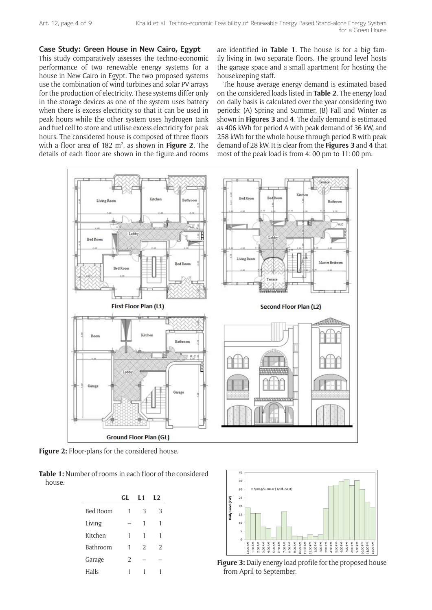## **Case Study: Green House in New Cairo, Egypt**

This study comparatively assesses the techno-economic performance of two renewable energy systems for a house in New Cairo in Egypt. The two proposed systems use the combination of wind turbines and solar PV arrays for the production of electricity. These systems differ only in the storage devices as one of the system uses battery when there is excess electricity so that it can be used in peak hours while the other system uses hydrogen tank and fuel cell to store and utilise excess electricity for peak hours. The considered house is composed of three floors with a floor area of 182 m<sup>2</sup>, as shown in **Figure 2**. The details of each floor are shown in the figure and rooms

are identified in **Table 1**. The house is for a big family living in two separate floors. The ground level hosts the garage space and a small apartment for hosting the housekeeping staff.

The house average energy demand is estimated based on the considered loads listed in **Table 2**. The energy load on daily basis is calculated over the year considering two periods: (A) Spring and Summer, (B) Fall and Winter as shown in **Figures 3** and **4**. The daily demand is estimated as 406 kWh for period A with peak demand of 36 kW, and 258 kWh for the whole house through period B with peak demand of 28 kW. It is clear from the **Figures 3** and **4** that most of the peak load is from 4: 00 pm to 11: 00 pm.



**Figure 2:** Floor-plans for the considered house.

**Table 1:** Number of rooms in each floor of the considered house.

|                 | GL. | L1 | 1.2 |  |
|-----------------|-----|----|-----|--|
| <b>Bed Room</b> | 1   | 3  | 3   |  |
| Living          |     | 1  | 1   |  |
| Kitchen         | 1   | 1  | 1   |  |
| Bathroom        | 1   | 2  | 2   |  |
| Garage          | 2   |    |     |  |
| Halls           |     |    |     |  |



**Figure 3:** Daily energy load profile for the proposed house from April to September.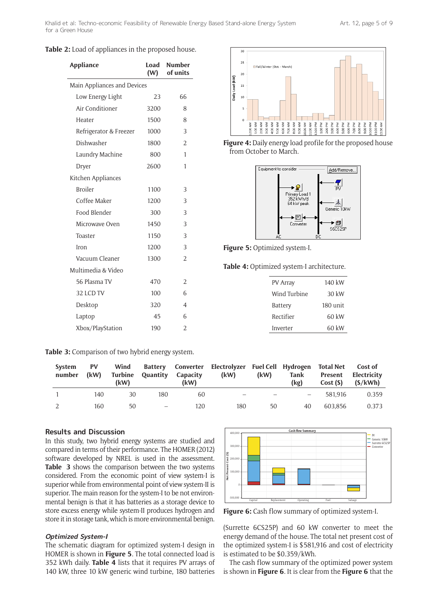Khalid et al: Techno-economic Feasibility of Renewable Energy Based Stand-alone Energy System for a Green House

| <b>Table 2:</b> Load of appliances in the proposed house. |  |
|-----------------------------------------------------------|--|
|-----------------------------------------------------------|--|

| Appliance                   | Load<br>(W) | <b>Number</b><br>of units |
|-----------------------------|-------------|---------------------------|
| Main Appliances and Devices |             |                           |
| Low Energy Light            | 23          | 66                        |
| Air Conditioner             | 3200        | 8                         |
| Heater                      | 1500        | 8                         |
| Refrigerator & Freezer      | 1000        | $\overline{\mathcal{E}}$  |
| Dishwasher                  | 1800        | $\overline{2}$            |
| Laundry Machine             | 800         | 1                         |
| Dryer                       | 2600        | 1                         |
| Kitchen Appliances          |             |                           |
| <b>Broiler</b>              | 1100        | 3                         |
| Coffee Maker                | 1200        | 3                         |
| Food Blender                | 300         | $\overline{\mathcal{E}}$  |
| Microwave Oven              | 1450        | 3                         |
| Toaster                     | 1150        | 3                         |
| Iron                        | 1200        | 3                         |
| Vacuum Cleaner              | 1300        | $\overline{2}$            |
| Multimedia & Video          |             |                           |
| 56 Plasma TV                | 470         | 2                         |
| 32 LCD TV                   | 100         | 6                         |
| Desktop                     | 320         | 4                         |
| Laptop                      | 45          | 6                         |
| Xbox/PlayStation            | 190         | $\overline{2}$            |
|                             |             |                           |



**Figure 4:** Daily energy load profile for the proposed house from October to March.



**Figure 5:** Optimized system-I.

**Table 4:** Optimized system-I architecture.

| <b>PV Array</b> | 140 kW   |
|-----------------|----------|
| Wind Turbine    | 30 kW    |
| Battery         | 180 unit |
| Rectifier       | 60 kW    |
| Inverter        | 60 kW    |

**Table 3:** Comparison of two hybrid energy system.

| <b>System</b><br>number | <b>PV</b><br>(kW) | Wind<br>Turbine<br>(kW) | Quantity                 | Capacity<br>(kW) | Battery Converter Electrolyzer Fuel Cell Hydrogen Total Net<br>(kW) | (kW) | Tank<br>(kq)             | Cost(S) | <b>Cost of</b><br>Present Electricity<br>(S/kWh) |
|-------------------------|-------------------|-------------------------|--------------------------|------------------|---------------------------------------------------------------------|------|--------------------------|---------|--------------------------------------------------|
|                         | 140               | 30                      | 180                      | 60               |                                                                     |      | $\overline{\phantom{0}}$ | 581.916 | 0.359                                            |
|                         | 160               | 50                      | $\overline{\phantom{a}}$ | 120              | 180                                                                 | 50   | 40                       | 603.856 | 0.373                                            |

## **Results and Discussion**

In this study, two hybrid energy systems are studied and compared in terms of their performance. The HOMER (2012) software developed by NREL is used in the assessment. **Table 3** shows the comparison between the two systems considered. From the economic point of view system-I is superior while from environmental point of view system-II is superior. The main reason for the system-I to be not environmental benign is that it has batteries as a storage device to store excess energy while system-II produces hydrogen and store it in storage tank, which is more environmental benign.

#### **Optimized System-I**

The schematic diagram for optimized system-I design in HOMER is shown in **Figure 5**. The total connected load is 352 kWh daily. **Table 4** lists that it requires PV arrays of 140 kW, three 10 kW generic wind turbine, 180 batteries



**Figure 6:** Cash flow summary of optimized system-I.

(Surrette 6CS25P) and 60 kW converter to meet the energy demand of the house. The total net present cost of the optimized system-I is \$581,916 and cost of electricity is estimated to be \$0.359/kWh.

The cash flow summary of the optimized power system is shown in **Figure 6**. It is clear from the **Figure 6** that the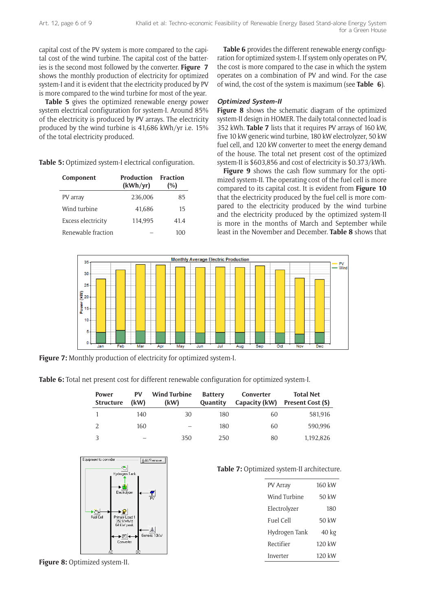capital cost of the PV system is more compared to the capital cost of the wind turbine. The capital cost of the batteries is the second most followed by the converter. **Figure 7** shows the monthly production of electricity for optimized system-I and it is evident that the electricity produced by PV is more compared to the wind turbine for most of the year.

**Table 5** gives the optimized renewable energy power system electrical configuration for system-I. Around 85% of the electricity is produced by PV arrays. The electricity produced by the wind turbine is 41,686 kWh/yr i.e. 15% of the total electricity produced.

**Table 5:** Optimized system-I electrical configuration.

| Component          | <b>Production</b><br>(kWh/yr) | <b>Fraction</b><br>(%) |
|--------------------|-------------------------------|------------------------|
| PV array           | 236,006                       | 85                     |
| Wind turbine       | 41,686                        | 15                     |
| Excess electricity | 114.995                       | 41.4                   |
| Renewable fraction |                               | 100                    |

**Table 6** provides the different renewable energy configuration for optimized system-I. If system only operates on PV, the cost is more compared to the case in which the system operates on a combination of PV and wind. For the case of wind, the cost of the system is maximum (see **Table 6**).

### **Optimized System-II**

**Figure 8** shows the schematic diagram of the optimized system-II design in HOMER. The daily total connected load is 352 kWh. **Table 7** lists that it requires PV arrays of 160 kW, five 10 kW generic wind turbine, 180 kW electrolyzer, 50 kW fuel cell, and 120 kW converter to meet the energy demand of the house. The total net present cost of the optimized system-II is \$603,856 and cost of electricity is \$0.373/kWh.

**Figure 9** shows the cash flow summary for the optimized system-II. The operating cost of the fuel cell is more compared to its capital cost. It is evident from **Figure 10** that the electricity produced by the fuel cell is more compared to the electricity produced by the wind turbine and the electricity produced by the optimized system-II is more in the months of March and September while least in the November and December. **Table 8** shows that



**Figure 7:** Monthly production of electricity for optimized system-I.

**Table 6:** Total net present cost for different renewable configuration for optimized system-I.

| <b>Power</b><br><b>Structure</b> | <b>PV</b><br>(kW) | <b>Wind Turbine</b><br>(kW) | <b>Battery</b><br><b>Quantity</b> | Converter<br>Capacity (kW) | <b>Total Net</b><br><b>Present Cost (\$)</b> |
|----------------------------------|-------------------|-----------------------------|-----------------------------------|----------------------------|----------------------------------------------|
|                                  | 140               | 30                          | 180                               | 60                         | 581,916                                      |
|                                  | 160               | -                           | 180                               | 60                         | 590,996                                      |
|                                  | -                 | 350                         | 250                               | 80                         | 1.192.826                                    |



#### **Table 7:** Optimized system-II architecture.

| <b>PV Array</b> | 160 kW           |
|-----------------|------------------|
| Wind Turbine    | 50 kW            |
| Electrolyzer    | 180              |
| Fuel Cell       | 50 kW            |
| Hydrogen Tank   | 40 kg            |
| Rectifier       | $120 \text{ kW}$ |
| Inverter        | $120 \text{ kW}$ |

**Figure 8:** Optimized system-II.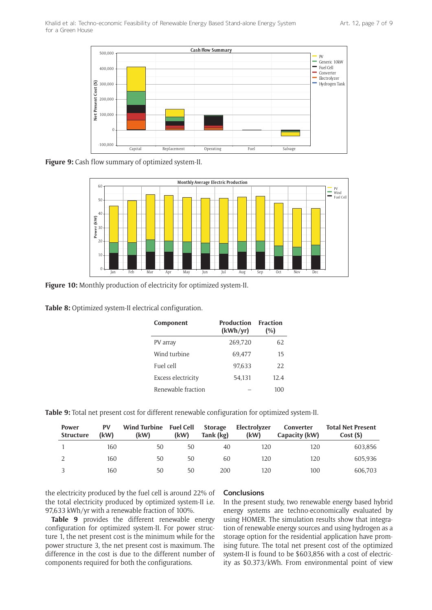

**Figure 9:** Cash flow summary of optimized system-II.



**Figure 10:** Monthly production of electricity for optimized system-II.

**Table 8:** Optimized system-II electrical configuration.

| Component          | <b>Production</b><br>(kWh/yr) | <b>Fraction</b><br>(%) |
|--------------------|-------------------------------|------------------------|
| PV array           | 269,720                       | 62                     |
| Wind turbine       | 69.477                        | 15                     |
| Fuel cell          | 97.633                        | 22.                    |
| Excess electricity | 54,131                        | 12.4                   |
| Renewable fraction |                               | 100                    |

**Table 9:** Total net present cost for different renewable configuration for optimized system-II.

| Power<br><b>Structure</b> | <b>PV</b><br>(kW) | Wind Turbine Fuel Cell<br>(kW) | (kW) | <b>Storage</b><br>Tank (kg) | Electrolyzer<br>(kW) | Converter<br>Capacity (kW) | <b>Total Net Present</b><br>Cost(S) |
|---------------------------|-------------------|--------------------------------|------|-----------------------------|----------------------|----------------------------|-------------------------------------|
|                           | 160               | 50                             | 50   | 40                          | 120                  | 120                        | 603,856                             |
|                           | 160               | 50                             | 50   | 60                          | 120                  | 120                        | 605.936                             |
|                           | 160               | 50                             | 50   | 200                         | 120                  | 100                        | 606.703                             |

the electricity produced by the fuel cell is around 22% of the total electricity produced by optimized system-II i.e. 97,633 kWh/yr with a renewable fraction of 100%.

**Table 9** provides the different renewable energy configuration for optimized system-II. For power structure 1, the net present cost is the minimum while for the power structure 3, the net present cost is maximum. The difference in the cost is due to the different number of components required for both the configurations.

### **Conclusions**

In the present study, two renewable energy based hybrid energy systems are techno-economically evaluated by using HOMER. The simulation results show that integration of renewable energy sources and using hydrogen as a storage option for the residential application have promising future. The total net present cost of the optimized system-II is found to be \$603,856 with a cost of electricity as \$0.373/kWh. From environmental point of view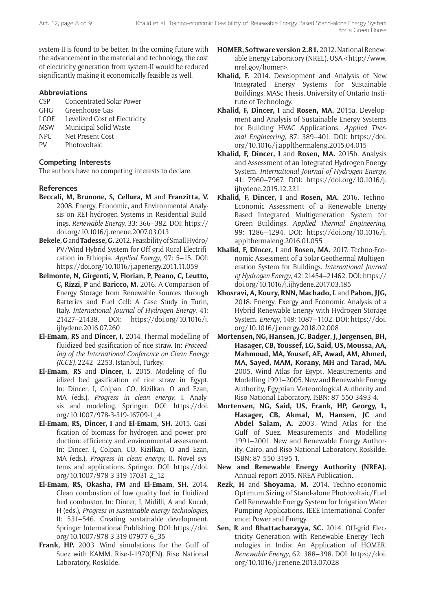system-II is found to be better. In the coming future with the advancement in the material and technology, the cost of electricity generation from system-II would be reduced significantly making it economically feasible as well.

## **Abbreviations**

- CSP Concentrated Solar Power
- GHG Greenhouse Gas
- LCOE Levelized Cost of Electricity
- MSW Municipal Solid Waste
- NPC Net Present Cost
- PV Photovoltaic

# **Competing Interests**

The authors have no competing interests to declare.

# **References**

- **Beccali, M, Brunone, S, Cellura, M** and **Franzitta, V.** 2008. Energy, Economic, and Environmental Analysis on RET-hydrogen Systems in Residential Buildings. *Renewable Energy*, 33: 366–382. DOI: [https://](https://doi.org/10.1016/j.renene.2007.03.013) [doi.org/10.1016/j.renene.2007.03.013](https://doi.org/10.1016/j.renene.2007.03.013)
- **Bekele, G** and **Tadesse, G.** 2012. Feasibility of Small Hydro/ PV/Wind Hybrid System for Off-grid Rural Electrification in Ethiopia. *Applied Energy*, 97: 5–15. DOI: <https://doi.org/10.1016/j.apenergy.2011.11.059>
- **Belmonte, N, Girgenti, V, Florian, P, Peano, C, Leutto, C, Rizzi, P** and **Baricco, M.** 2016. A Comparison of Energy Storage from Renewable Sources through Batteries and Fuel Cell: A Case Study in Turin, Italy. *International Journal of Hydrogen Energy*, 41: 21427–21438. DOI: [https://doi.org/10.1016/j.](https://doi.org/10.1016/j.ijhydene.2016.07.260) [ijhydene.2016.07.260](https://doi.org/10.1016/j.ijhydene.2016.07.260)
- **El-Emam, RS** and **Dincer, I.** 2014. Thermal modelling of fluidized bed gasification of rice straw. In: *Proceeding of the International Conference on Clean Energy (ICCE)*, 2242–2253. Istanbul, Turkey.
- **El-Emam, RS** and **Dincer, I.** 2015. Modeling of fluidized bed gasification of rice straw in Egypt. In: Dincer, I, Colpan, CO, Kizilkan, O and Ezan, MA (eds.), *Progress in clean energy*, I. Analysis and modeling. Springer. DOI: [https://doi.](https://doi.org/10.1007/978-3-319-16709-1_4) [org/10.1007/978-3-319-16709-1\\_4](https://doi.org/10.1007/978-3-319-16709-1_4)
- **El-Emam, RS, Dincer, I** and **El-Emam, SH.** 2015. Gasification of biomass for hydrogen and power production: efficiency and environmental assessment. In: Dincer, I, Colpan, CO, Kizilkan, O and Ezan, MA (eds.), *Progress in clean energy*, II. Novel systems and applications. Springer. DOI: [https://doi.](https://doi.org/10.1007/978-3-319-17031-2_12) [org/10.1007/978-3-319-17031-2\\_12](https://doi.org/10.1007/978-3-319-17031-2_12)
- **El-Emam, RS, Okasha, FM** and **El-Emam, SH.** 2014. Clean combustion of low quality fuel in fluidized bed combustor. In: Dincer, I, Midilli, A and Kucuk, H (eds.), *Progress in sustainable energy technologies*, II: 531–546. Creating sustainable development. Springer International Publishing. DOI: [https://doi.](https://doi.org/10.1007/978-3-319-07977-6_35) [org/10.1007/978-3-319-07977-6\\_35](https://doi.org/10.1007/978-3-319-07977-6_35)
- **Frank, HP.** 2003. Wind simulations for the Gulf of Suez with KAMM. Risø-I-1970(EN), Risø National Laboratory, Roskilde.
- **HOMER, Software version 2.81.** 2012. National Renewable Energy Laboratory (NREL), USA [<http://www.](http://www.nrel.gov/homer) [nrel.gov/homer>](http://www.nrel.gov/homer).
- **Khalid, F.** 2014. Development and Analysis of New Integrated Energy Systems for Sustainable Buildings. MASc Thesis. University of Ontario Institute of Technology.
- **Khalid, F, Dincer, I** and **Rosen, MA.** 2015a. Development and Analysis of Sustainable Energy Systems for Building HVAC Applications. *Applied Thermal Engineering*, 87: 389–401. DOI: [https://doi.](https://doi.org/10.1016/j.applthermaleng.2015.04.015) [org/10.1016/j.applthermaleng.2015.04.015](https://doi.org/10.1016/j.applthermaleng.2015.04.015)
- **Khalid, F, Dincer, I** and **Rosen, MA.** 2015b. Analysis and Assessment of an Integrated Hydrogen Energy System. *International Journal of Hydrogen Energy*, 41: 7960–7967. DOI: [https://doi.org/10.1016/j.](https://doi.org/10.1016/j.ijhydene.2015.12.221) [ijhydene.2015.12.221](https://doi.org/10.1016/j.ijhydene.2015.12.221)
- **Khalid, F, Dincer, I** and **Rosen, MA.** 2016. Techno-Economic Assessment of a Renewable Energy Based Integrated Multigeneration System for Green Buildings. *Applied Thermal Engineering*, 99: 1286–1294. DOI: [https://doi.org/10.1016/j.](https://doi.org/10.1016/j.applthermaleng.2016.01.055) [applthermaleng.2016.01.055](https://doi.org/10.1016/j.applthermaleng.2016.01.055)
- **Khalid, F, Dincer, I** and **Rosen, MA.** 2017. Techno-Economic Assessment of a Solar-Geothermal Multigeneration System for Buildings. *International Journal of Hydrogen Energy*, 42: 21454–21462. DOI: [https://](https://doi.org/10.1016/j.ijhydene.2017.03.185) [doi.org/10.1016/j.ijhydene.2017.03.185](https://doi.org/10.1016/j.ijhydene.2017.03.185)
- **Khosravi, A, Koury, RNN, Machado, L** and **Pabon, JJG,**  2018. Energy, Exergy and Economic Analysis of a Hybrid Renewable Energy with Hydrogen Storage System. *Energy*, 148: 1087–1102. DOI: [https://doi.](https://doi.org/10.1016/j.energy.2018.02.008) [org/10.1016/j.energy.2018.02.008](https://doi.org/10.1016/j.energy.2018.02.008)
- **Mortensen, NG, Hansen, JC, Badger, J, Jørgensen, BH, Hasager, CB, Youssef, LG, Said, US, Moussa, AA, Mahmoud, MA, Yousef, AE, Awad, AM, Ahmed, MA, Sayed, MAM, Korany, MH** and **Tarad, MA.**  2005. Wind Atlas for Egypt, Measurements and Modelling 1991–2005. New and Renewable Energy Authority, Egyptian Meteorological Authority and Risø National Laboratory. ISBN: 87-550-3493-4.
- **Mortensen, NG, Said, US, Frank, HP, Georgy, L, Hasager, CB, Akmal, M, Hansen, JC** and **Abdel Salam, A.** 2003. Wind Atlas for the Gulf of Suez. Measurements and Modelling 1991–2001. New and Renewable Energy Authority, Cairo, and Risø National Laboratory, Roskilde. ISBN: 87-550-3195-1.
- **New and Renewable Energy Authority (NREA).** Annual report 2015. NREA Publication.
- **Rezk, H** and **Shoyama, M.** 2014. Techno-economic Optimum Sizing of Stand-alone Photovoltaic/Fuel Cell Renewable Energy System for Irrigation Water Pumping Applications. IEEE International Conference: Power and Energy.
- **Sen, R** and **Bhattacharayya, SC.** 2014. Off-grid Electricity Generation with Renewable Energy Technologies in India: An Application of HOMER. *Renewable Energy*, 62: 388–398. DOI: [https://doi.](https://doi.org/10.1016/j.renene.2013.07.028) [org/10.1016/j.renene.2013.07.028](https://doi.org/10.1016/j.renene.2013.07.028)